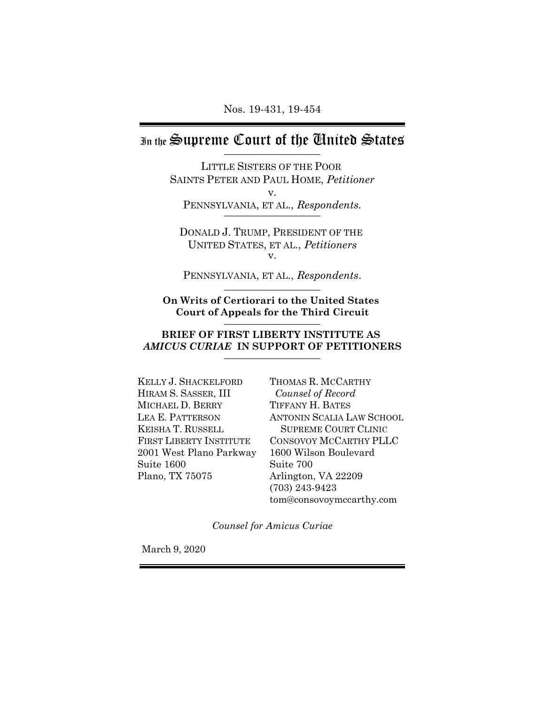# In the Supreme Court of the Chuited States

LITTLE SISTERS OF THE POOR SAINTS PETER AND PAUL HOME, *Petitioner* v. PENNSYLVANIA, ET AL., *Respondents.* 

DONALD J. TRUMP, PRESIDENT OF THE UNITED STATES, ET AL., *Petitioners* v.

PENNSYLVANIA, ET AL., *Respondents*.

**On Writs of Certiorari to the United States Court of Appeals for the Third Circuit** \_\_\_\_\_\_\_\_\_\_\_\_\_\_\_\_\_\_

#### **BRIEF OF FIRST LIBERTY INSTITUTE AS**  *AMICUS CURIAE* **IN SUPPORT OF PETITIONERS** \_\_\_\_\_\_\_\_\_\_\_\_\_\_\_\_\_\_

KELLY J. SHACKELFORD HIRAM S. SASSER, III MICHAEL D. BERRY LEA E. PATTERSON KEISHA T. RUSSELL FIRST LIBERTY INSTITUTE 2001 West Plano Parkway Suite 1600 Plano, TX 75075

THOMAS R. MCCARTHY *Counsel of Record* TIFFANY H. BATES ANTONIN SCALIA LAW SCHOOL SUPREME COURT CLINIC CONSOVOY MCCARTHY PLLC 1600 Wilson Boulevard Suite 700 Arlington, VA 22209 (703) 243-9423 tom@consovoymccarthy.com

*Counsel for Amicus Curiae*

March 9, 2020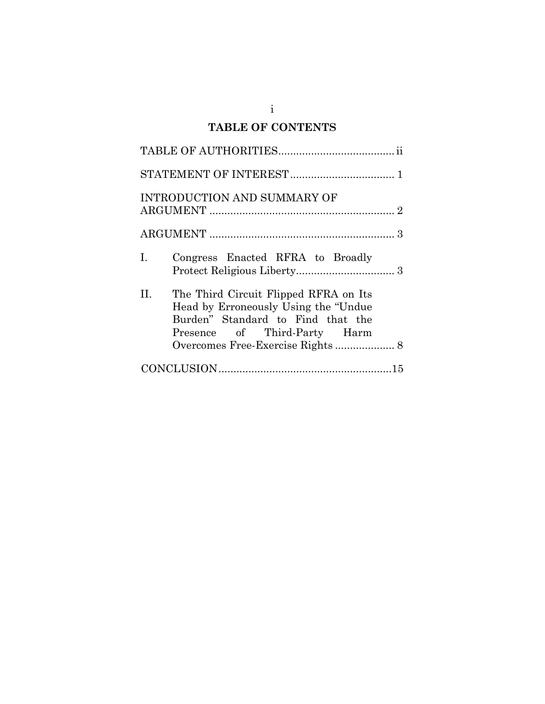# **TABLE OF CONTENTS**

| INTRODUCTION AND SUMMARY OF                                                                                                                               |
|-----------------------------------------------------------------------------------------------------------------------------------------------------------|
|                                                                                                                                                           |
| Congress Enacted RFRA to Broadly<br>Ι.                                                                                                                    |
| H.<br>The Third Circuit Flipped RFRA on Its<br>Head by Erroneously Using the "Undue"<br>Burden" Standard to Find that the<br>Presence of Third-Party Harm |
|                                                                                                                                                           |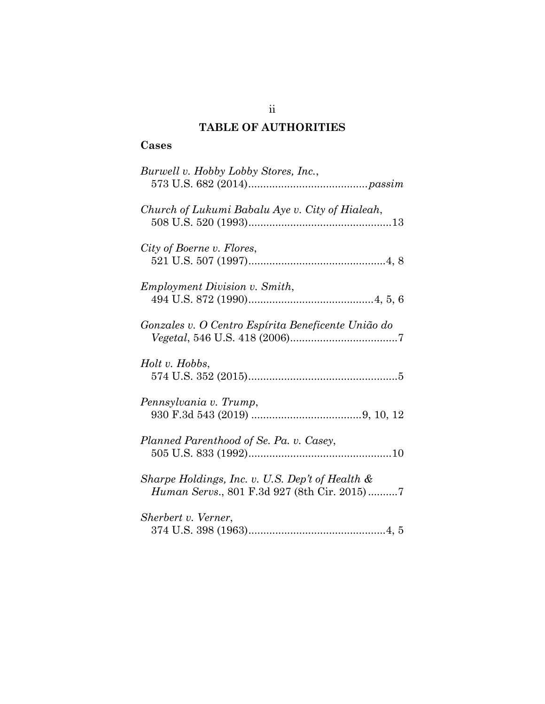## **TABLE OF AUTHORITIES**

## **Cases**

| Burwell v. Hobby Lobby Stores, Inc.,                                                           |
|------------------------------------------------------------------------------------------------|
| Church of Lukumi Babalu Aye v. City of Hialeah,                                                |
| City of Boerne v. Flores,                                                                      |
| <i>Employment Division v. Smith,</i>                                                           |
| Gonzales v. O Centro Espírita Beneficente União do                                             |
| Holt v. Hobbs,                                                                                 |
| Pennsylvania v. Trump,                                                                         |
| Planned Parenthood of Se. Pa. v. Casey,                                                        |
| Sharpe Holdings, Inc. v. U.S. Dep't of Health &<br>Human Servs., 801 F.3d 927 (8th Cir. 2015)7 |
| Sherbert v. Verner,                                                                            |

ii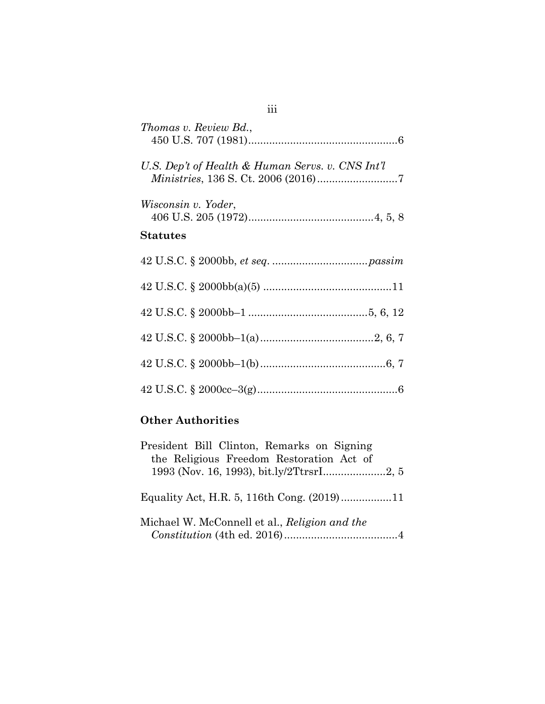| Thomas v. Review Bd.,                            |
|--------------------------------------------------|
| U.S. Dep't of Health & Human Servs. v. CNS Int'l |
| Wisconsin v. Yoder,<br>Statutes                  |
|                                                  |
|                                                  |
|                                                  |
|                                                  |
|                                                  |
|                                                  |

## **Other Authorities**

| President Bill Clinton, Remarks on Signing    |
|-----------------------------------------------|
| the Religious Freedom Restoration Act of      |
| 1993 (Nov. 16, 1993), bit.ly/2TtrsrI2, 5      |
|                                               |
|                                               |
|                                               |
| Michael W. McConnell et al., Religion and the |
|                                               |
|                                               |

## iii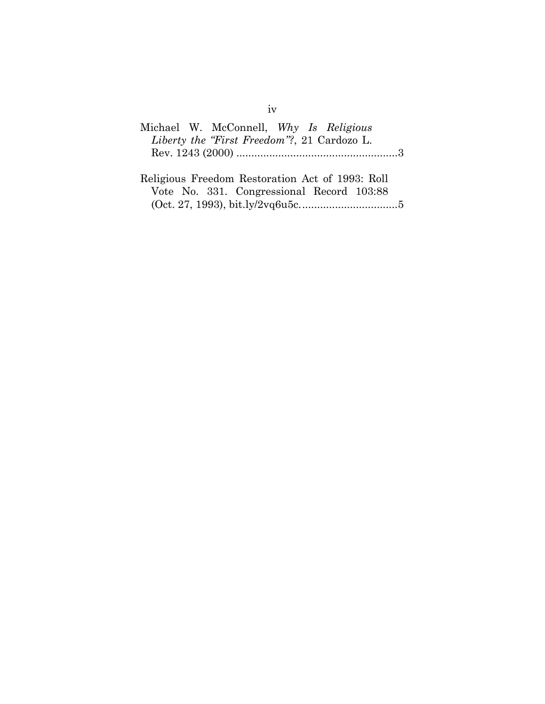| Michael W. McConnell, Why Is Religious |                                             |  |  |  |
|----------------------------------------|---------------------------------------------|--|--|--|
|                                        | Liberty the "First Freedom"?, 21 Cardozo L. |  |  |  |
|                                        |                                             |  |  |  |
|                                        |                                             |  |  |  |

| Religious Freedom Restoration Act of 1993: Roll |  |
|-------------------------------------------------|--|
| Vote No. 331. Congressional Record 103:88       |  |
|                                                 |  |

# iv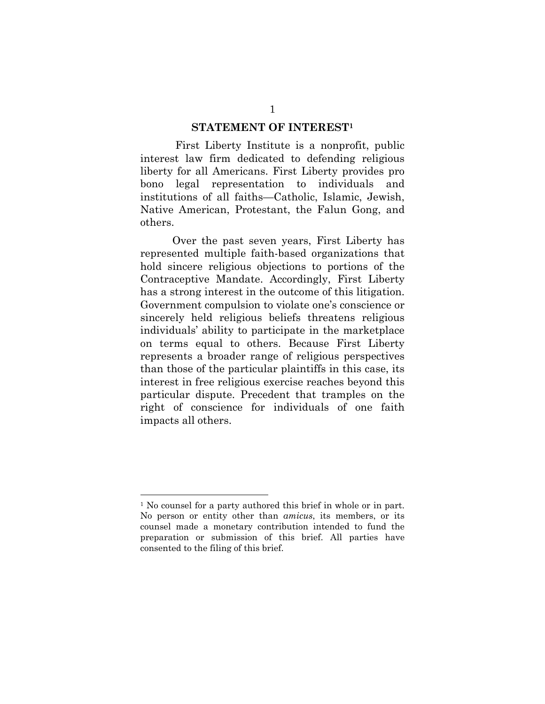### **STATEMENT OF INTEREST1**

 First Liberty Institute is a nonprofit, public interest law firm dedicated to defending religious liberty for all Americans. First Liberty provides pro bono legal representation to individuals and institutions of all faiths—Catholic, Islamic, Jewish, Native American, Protestant, the Falun Gong, and others.

Over the past seven years, First Liberty has represented multiple faith-based organizations that hold sincere religious objections to portions of the Contraceptive Mandate. Accordingly, First Liberty has a strong interest in the outcome of this litigation. Government compulsion to violate one's conscience or sincerely held religious beliefs threatens religious individuals' ability to participate in the marketplace on terms equal to others. Because First Liberty represents a broader range of religious perspectives than those of the particular plaintiffs in this case, its interest in free religious exercise reaches beyond this particular dispute. Precedent that tramples on the right of conscience for individuals of one faith impacts all others.

<sup>&</sup>lt;sup>1</sup> No counsel for a party authored this brief in whole or in part. No person or entity other than *amicus*, its members, or its counsel made a monetary contribution intended to fund the preparation or submission of this brief. All parties have consented to the filing of this brief.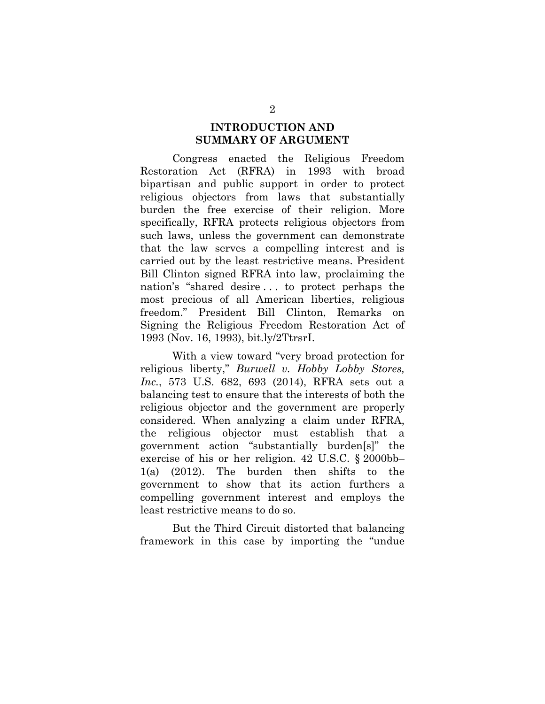### **INTRODUCTION AND SUMMARY OF ARGUMENT**

Congress enacted the Religious Freedom Restoration Act (RFRA) in 1993 with broad bipartisan and public support in order to protect religious objectors from laws that substantially burden the free exercise of their religion. More specifically, RFRA protects religious objectors from such laws, unless the government can demonstrate that the law serves a compelling interest and is carried out by the least restrictive means. President Bill Clinton signed RFRA into law, proclaiming the nation's "shared desire . . . to protect perhaps the most precious of all American liberties, religious freedom." President Bill Clinton, Remarks on Signing the Religious Freedom Restoration Act of 1993 (Nov. 16, 1993), bit.ly/2TtrsrI.

With a view toward "very broad protection for religious liberty," *Burwell v. Hobby Lobby Stores, Inc.*, 573 U.S. 682, 693 (2014), RFRA sets out a balancing test to ensure that the interests of both the religious objector and the government are properly considered. When analyzing a claim under RFRA, the religious objector must establish that a government action "substantially burden[s]" the exercise of his or her religion. 42 U.S.C. § 2000bb– 1(a) (2012). The burden then shifts to the government to show that its action furthers a compelling government interest and employs the least restrictive means to do so.

But the Third Circuit distorted that balancing framework in this case by importing the "undue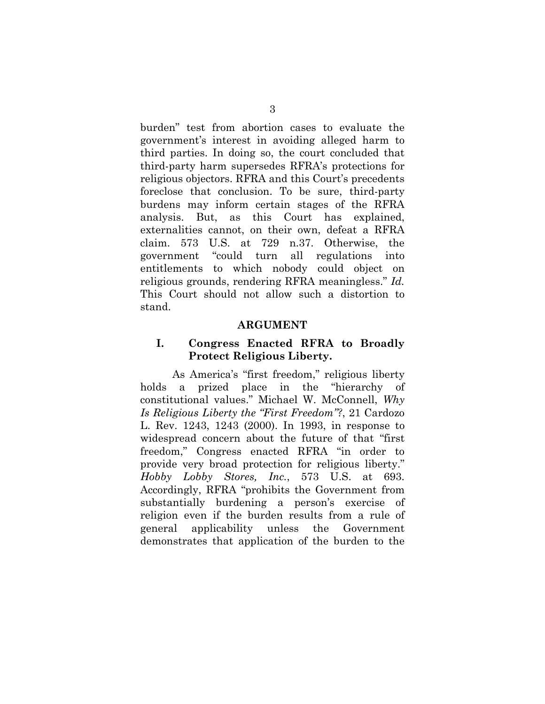burden" test from abortion cases to evaluate the government's interest in avoiding alleged harm to third parties. In doing so, the court concluded that third-party harm supersedes RFRA's protections for religious objectors. RFRA and this Court's precedents foreclose that conclusion. To be sure, third-party burdens may inform certain stages of the RFRA analysis. But, as this Court has explained, externalities cannot, on their own, defeat a RFRA claim. 573 U.S. at 729 n.37. Otherwise, the government "could turn all regulations into entitlements to which nobody could object on religious grounds, rendering RFRA meaningless." *Id.* This Court should not allow such a distortion to stand.

### **ARGUMENT**

### **I. Congress Enacted RFRA to Broadly Protect Religious Liberty.**

As America's "first freedom," religious liberty holds a prized place in the "hierarchy of constitutional values." Michael W. McConnell, *Why Is Religious Liberty the "First Freedom"?*, 21 Cardozo L. Rev. 1243, 1243 (2000). In 1993, in response to widespread concern about the future of that "first freedom," Congress enacted RFRA "in order to provide very broad protection for religious liberty." *Hobby Lobby Stores, Inc.*, 573 U.S. at 693. Accordingly, RFRA "prohibits the Government from substantially burdening a person's exercise of religion even if the burden results from a rule of general applicability unless the Government demonstrates that application of the burden to the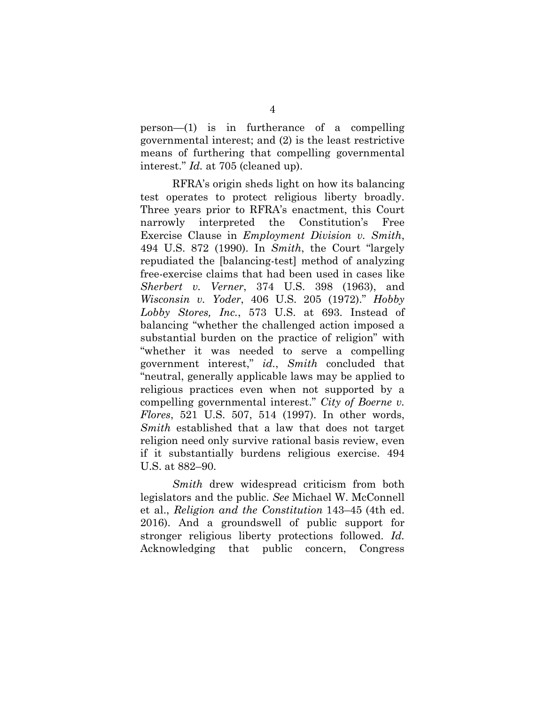person—(1) is in furtherance of a compelling governmental interest; and (2) is the least restrictive means of furthering that compelling governmental interest." *Id.* at 705 (cleaned up).

RFRA's origin sheds light on how its balancing test operates to protect religious liberty broadly. Three years prior to RFRA's enactment, this Court narrowly interpreted the Constitution's Free Exercise Clause in *Employment Division v. Smith*, 494 U.S. 872 (1990). In *Smith*, the Court "largely repudiated the [balancing-test] method of analyzing free-exercise claims that had been used in cases like *Sherbert v. Verner*, 374 U.S. 398 (1963), and *Wisconsin v. Yoder*, 406 U.S. 205 (1972)." *Hobby Lobby Stores, Inc.*, 573 U.S. at 693. Instead of balancing "whether the challenged action imposed a substantial burden on the practice of religion" with "whether it was needed to serve a compelling government interest," *id.*, *Smith* concluded that "neutral, generally applicable laws may be applied to religious practices even when not supported by a compelling governmental interest." *City of Boerne v. Flores*, 521 U.S. 507, 514 (1997). In other words, *Smith* established that a law that does not target religion need only survive rational basis review, even if it substantially burdens religious exercise. 494 U.S. at 882–90.

*Smith* drew widespread criticism from both legislators and the public. *See* Michael W. McConnell et al., *Religion and the Constitution* 143–45 (4th ed. 2016). And a groundswell of public support for stronger religious liberty protections followed. *Id.* Acknowledging that public concern, Congress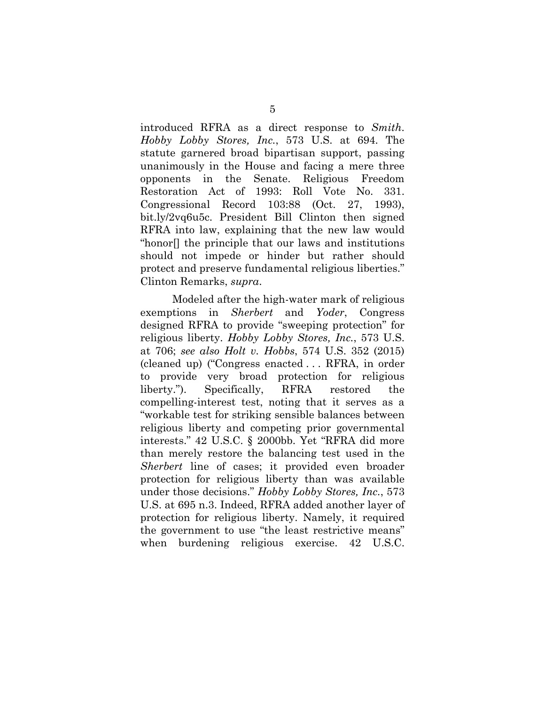introduced RFRA as a direct response to *Smith*. *Hobby Lobby Stores, Inc.*, 573 U.S. at 694. The statute garnered broad bipartisan support, passing unanimously in the House and facing a mere three opponents in the Senate. Religious Freedom Restoration Act of 1993: Roll Vote No. 331. Congressional Record 103:88 (Oct. 27, 1993), bit.ly/2vq6u5c. President Bill Clinton then signed RFRA into law, explaining that the new law would "honor[] the principle that our laws and institutions should not impede or hinder but rather should protect and preserve fundamental religious liberties." Clinton Remarks, *supra*.

Modeled after the high-water mark of religious exemptions in *Sherbert* and *Yoder*, Congress designed RFRA to provide "sweeping protection" for religious liberty. *Hobby Lobby Stores, Inc.*, 573 U.S. at 706; *see also Holt v. Hobbs*, 574 U.S. 352 (2015) (cleaned up) ("Congress enacted . . . RFRA, in order to provide very broad protection for religious liberty."). Specifically, RFRA restored the compelling-interest test, noting that it serves as a "workable test for striking sensible balances between religious liberty and competing prior governmental interests." 42 U.S.C. § 2000bb. Yet "RFRA did more than merely restore the balancing test used in the *Sherbert* line of cases; it provided even broader protection for religious liberty than was available under those decisions." *Hobby Lobby Stores, Inc.*, 573 U.S. at 695 n.3. Indeed, RFRA added another layer of protection for religious liberty. Namely, it required the government to use "the least restrictive means" when burdening religious exercise. 42 U.S.C.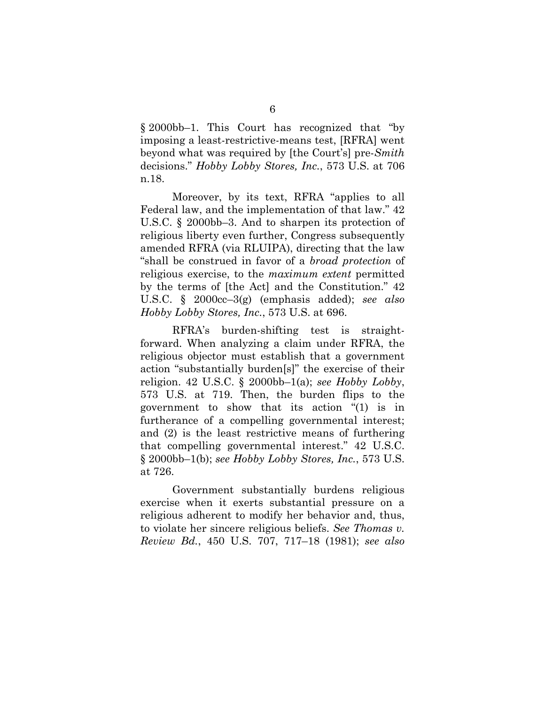§ 2000bb–1. This Court has recognized that "by imposing a least-restrictive-means test, [RFRA] went beyond what was required by [the Court's] pre-*Smith* decisions." *Hobby Lobby Stores, Inc.*, 573 U.S. at 706 n.18.

Moreover, by its text, RFRA "applies to all Federal law, and the implementation of that law." 42 U.S.C. § 2000bb–3. And to sharpen its protection of religious liberty even further, Congress subsequently amended RFRA (via RLUIPA), directing that the law "shall be construed in favor of a *broad protection* of religious exercise, to the *maximum extent* permitted by the terms of [the Act] and the Constitution." 42 U.S.C. § 2000cc–3(g) (emphasis added); *see also Hobby Lobby Stores, Inc.*, 573 U.S. at 696.

RFRA's burden-shifting test is straightforward. When analyzing a claim under RFRA, the religious objector must establish that a government action "substantially burden[s]" the exercise of their religion. 42 U.S.C. § 2000bb–1(a); *see Hobby Lobby*, 573 U.S. at 719. Then, the burden flips to the government to show that its action "(1) is in furtherance of a compelling governmental interest; and (2) is the least restrictive means of furthering that compelling governmental interest." 42 U.S.C. § 2000bb–1(b); *see Hobby Lobby Stores, Inc.*, 573 U.S. at 726.

Government substantially burdens religious exercise when it exerts substantial pressure on a religious adherent to modify her behavior and, thus, to violate her sincere religious beliefs. *See Thomas v. Review Bd.*, 450 U.S. 707, 717–18 (1981); *see also*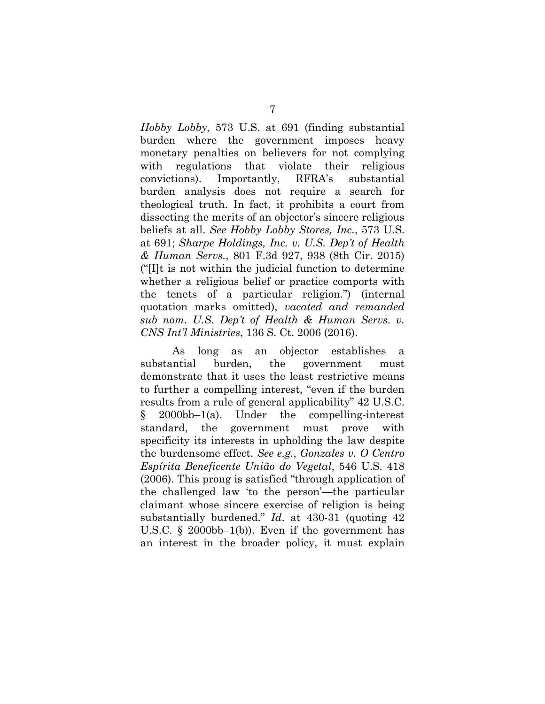*Hobby Lobby*, 573 U.S. at 691 (finding substantial burden where the government imposes heavy monetary penalties on believers for not complying with regulations that violate their religious convictions). Importantly, RFRA's substantial burden analysis does not require a search for theological truth. In fact, it prohibits a court from dissecting the merits of an objector's sincere religious beliefs at all. *See Hobby Lobby Stores, Inc.*, 573 U.S. at 691; *Sharpe Holdings, Inc. v. U.S. Dep't of Health & Human Servs.*, 801 F.3d 927, 938 (8th Cir. 2015) ("[I]t is not within the judicial function to determine whether a religious belief or practice comports with the tenets of a particular religion.") (internal quotation marks omitted), *vacated and remanded sub nom*. *U.S. Dep't of Health & Human Servs. v. CNS Int'l Ministries*, 136 S. Ct. 2006 (2016).

As long as an objector establishes a substantial burden, the government must demonstrate that it uses the least restrictive means to further a compelling interest, "even if the burden results from a rule of general applicability" 42 U.S.C. § 2000bb–1(a). Under the compelling-interest standard, the government must prove with specificity its interests in upholding the law despite the burdensome effect. *See e.g.*, *Gonzales v. O Centro Espírita Beneficente União do Vegetal*, 546 U.S. 418 (2006). This prong is satisfied "through application of the challenged law 'to the person'—the particular claimant whose sincere exercise of religion is being substantially burdened." *Id*. at 430-31 (quoting 42 U.S.C. § 2000bb–1(b)). Even if the government has an interest in the broader policy, it must explain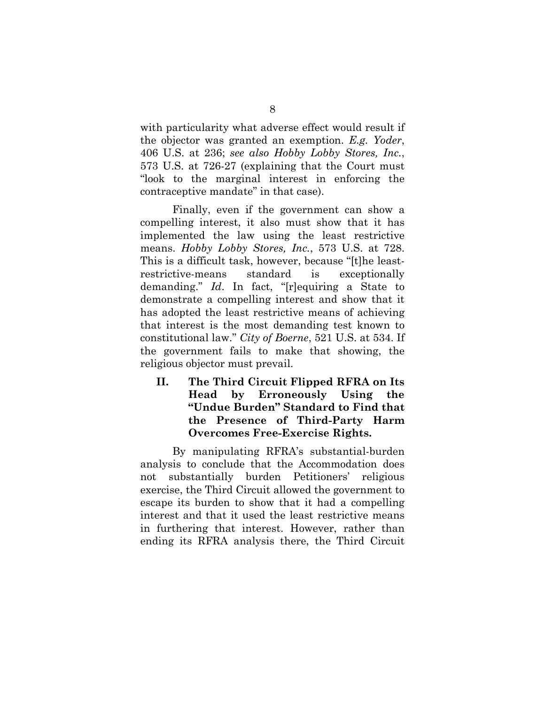with particularity what adverse effect would result if the objector was granted an exemption. *E.g. Yoder*, 406 U.S. at 236; *see also Hobby Lobby Stores, Inc.*, 573 U.S. at 726-27 (explaining that the Court must "look to the marginal interest in enforcing the contraceptive mandate" in that case).

Finally, even if the government can show a compelling interest, it also must show that it has implemented the law using the least restrictive means. *Hobby Lobby Stores, Inc.*, 573 U.S. at 728. This is a difficult task, however, because "[t]he leastrestrictive-means standard is exceptionally demanding." *Id*. In fact, "[r]equiring a State to demonstrate a compelling interest and show that it has adopted the least restrictive means of achieving that interest is the most demanding test known to constitutional law." *City of Boerne*, 521 U.S. at 534. If the government fails to make that showing, the religious objector must prevail.

**II. The Third Circuit Flipped RFRA on Its Head by Erroneously Using the "Undue Burden" Standard to Find that the Presence of Third-Party Harm Overcomes Free-Exercise Rights.** 

By manipulating RFRA's substantial-burden analysis to conclude that the Accommodation does not substantially burden Petitioners' religious exercise, the Third Circuit allowed the government to escape its burden to show that it had a compelling interest and that it used the least restrictive means in furthering that interest. However, rather than ending its RFRA analysis there, the Third Circuit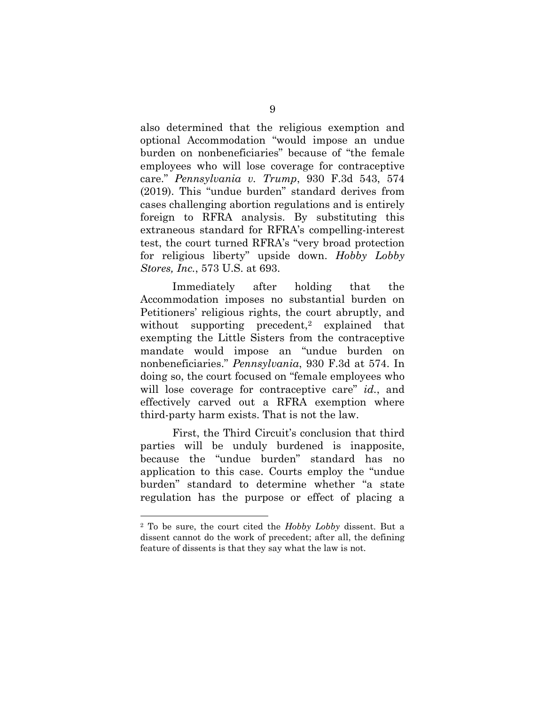also determined that the religious exemption and optional Accommodation "would impose an undue burden on nonbeneficiaries" because of "the female employees who will lose coverage for contraceptive care." *Pennsylvania v. Trump*, 930 F.3d 543, 574 (2019). This "undue burden" standard derives from cases challenging abortion regulations and is entirely foreign to RFRA analysis. By substituting this extraneous standard for RFRA's compelling-interest test, the court turned RFRA's "very broad protection for religious liberty" upside down. *Hobby Lobby Stores, Inc.*, 573 U.S. at 693.

Immediately after holding that the Accommodation imposes no substantial burden on Petitioners' religious rights, the court abruptly, and without supporting precedent,<sup>2</sup> explained that exempting the Little Sisters from the contraceptive mandate would impose an "undue burden on nonbeneficiaries." *Pennsylvania*, 930 F.3d at 574. In doing so, the court focused on "female employees who will lose coverage for contraceptive care" *id.*, and effectively carved out a RFRA exemption where third-party harm exists. That is not the law.

First, the Third Circuit's conclusion that third parties will be unduly burdened is inapposite, because the "undue burden" standard has no application to this case. Courts employ the "undue burden" standard to determine whether "a state regulation has the purpose or effect of placing a

<sup>2</sup> To be sure, the court cited the *Hobby Lobby* dissent. But a dissent cannot do the work of precedent; after all, the defining feature of dissents is that they say what the law is not.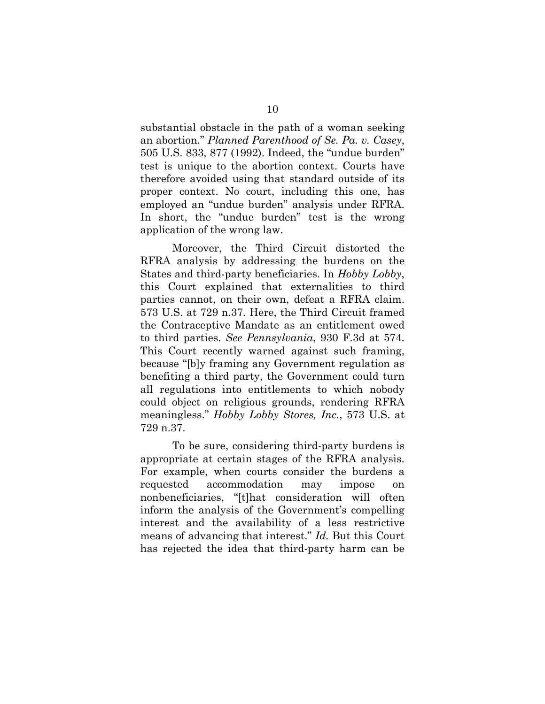substantial obstacle in the path of a woman seeking an abortion." *Planned Parenthood of Se. Pa. v. Casey*, 505 U.S. 833, 877 (1992). Indeed, the "undue burden" test is unique to the abortion context. Courts have therefore avoided using that standard outside of its proper context. No court, including this one, has employed an "undue burden" analysis under RFRA. In short, the "undue burden" test is the wrong application of the wrong law.

Moreover, the Third Circuit distorted the RFRA analysis by addressing the burdens on the States and third-party beneficiaries. In *Hobby Lobby*, this Court explained that externalities to third parties cannot, on their own, defeat a RFRA claim. 573 U.S. at 729 n.37. Here, the Third Circuit framed the Contraceptive Mandate as an entitlement owed to third parties. *See Pennsylvania*, 930 F.3d at 574. This Court recently warned against such framing, because "[b]y framing any Government regulation as benefiting a third party, the Government could turn all regulations into entitlements to which nobody could object on religious grounds, rendering RFRA meaningless." *Hobby Lobby Stores, Inc.*, 573 U.S. at 729 n.37.

To be sure, considering third-party burdens is appropriate at certain stages of the RFRA analysis. For example, when courts consider the burdens a requested accommodation may impose on nonbeneficiaries, "[t]hat consideration will often inform the analysis of the Government's compelling interest and the availability of a less restrictive means of advancing that interest." *Id.* But this Court has rejected the idea that third-party harm can be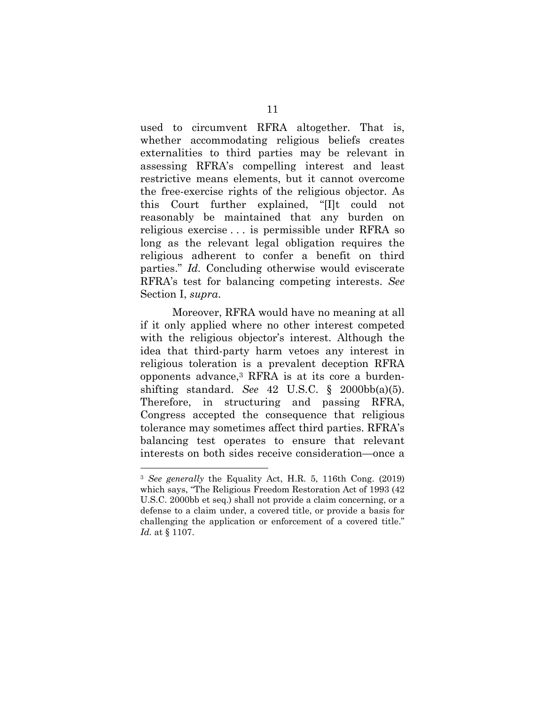used to circumvent RFRA altogether. That is, whether accommodating religious beliefs creates externalities to third parties may be relevant in assessing RFRA's compelling interest and least restrictive means elements, but it cannot overcome the free-exercise rights of the religious objector. As this Court further explained, "[I]t could not reasonably be maintained that any burden on religious exercise . . . is permissible under RFRA so long as the relevant legal obligation requires the religious adherent to confer a benefit on third parties." *Id.* Concluding otherwise would eviscerate RFRA's test for balancing competing interests. *See*  Section I, *supra*.

Moreover, RFRA would have no meaning at all if it only applied where no other interest competed with the religious objector's interest. Although the idea that third-party harm vetoes any interest in religious toleration is a prevalent deception RFRA opponents advance,3 RFRA is at its core a burdenshifting standard. *See* 42 U.S.C. § 2000bb(a)(5). Therefore, in structuring and passing RFRA, Congress accepted the consequence that religious tolerance may sometimes affect third parties. RFRA's balancing test operates to ensure that relevant interests on both sides receive consideration—once a

<sup>3</sup> *See generally* the Equality Act, H.R. 5, 116th Cong. (2019) which says, "The Religious Freedom Restoration Act of 1993 (42 U.S.C. 2000bb et seq.) shall not provide a claim concerning, or a defense to a claim under, a covered title, or provide a basis for challenging the application or enforcement of a covered title." *Id.* at § 1107.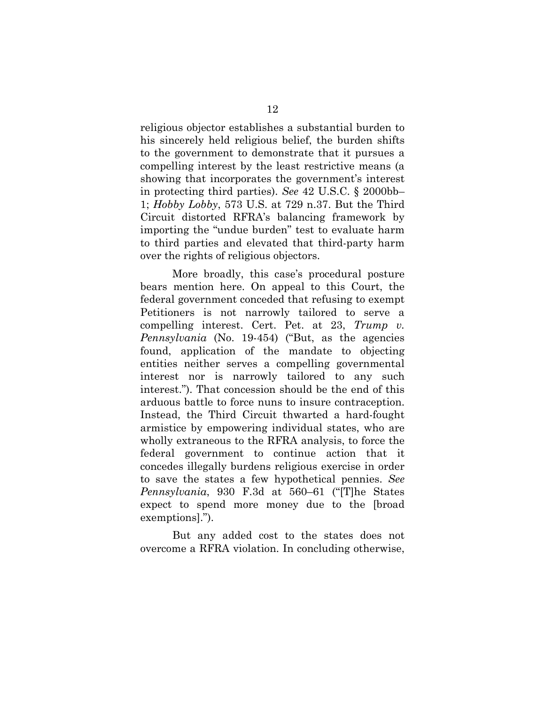religious objector establishes a substantial burden to his sincerely held religious belief, the burden shifts to the government to demonstrate that it pursues a compelling interest by the least restrictive means (a showing that incorporates the government's interest in protecting third parties). *See* 42 U.S.C. § 2000bb– 1; *Hobby Lobby*, 573 U.S. at 729 n.37. But the Third Circuit distorted RFRA's balancing framework by importing the "undue burden" test to evaluate harm to third parties and elevated that third-party harm over the rights of religious objectors.

More broadly, this case's procedural posture bears mention here. On appeal to this Court, the federal government conceded that refusing to exempt Petitioners is not narrowly tailored to serve a compelling interest. Cert. Pet. at 23, *Trump v. Pennsylvania* (No. 19-454) ("But, as the agencies found, application of the mandate to objecting entities neither serves a compelling governmental interest nor is narrowly tailored to any such interest."). That concession should be the end of this arduous battle to force nuns to insure contraception. Instead, the Third Circuit thwarted a hard-fought armistice by empowering individual states, who are wholly extraneous to the RFRA analysis, to force the federal government to continue action that it concedes illegally burdens religious exercise in order to save the states a few hypothetical pennies. *See Pennsylvania*, 930 F.3d at 560–61 ("[T]he States expect to spend more money due to the [broad exemptions].").

But any added cost to the states does not overcome a RFRA violation. In concluding otherwise,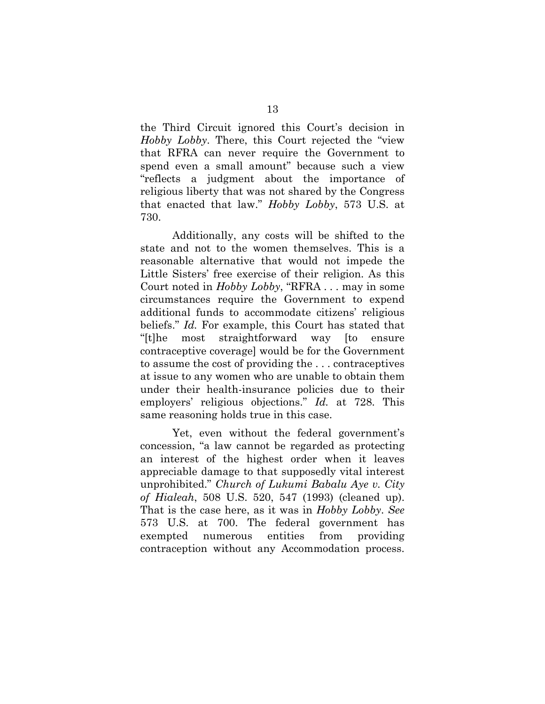the Third Circuit ignored this Court's decision in *Hobby Lobby*. There, this Court rejected the "view that RFRA can never require the Government to spend even a small amount" because such a view "reflects a judgment about the importance of religious liberty that was not shared by the Congress that enacted that law." *Hobby Lobby*, 573 U.S. at 730.

Additionally, any costs will be shifted to the state and not to the women themselves. This is a reasonable alternative that would not impede the Little Sisters' free exercise of their religion. As this Court noted in *Hobby Lobby*, "RFRA . . . may in some circumstances require the Government to expend additional funds to accommodate citizens' religious beliefs." *Id.* For example, this Court has stated that "[t]he most straightforward way [to ensure contraceptive coverage] would be for the Government to assume the cost of providing the . . . contraceptives at issue to any women who are unable to obtain them under their health-insurance policies due to their employers' religious objections." *Id.* at 728. This same reasoning holds true in this case.

Yet, even without the federal government's concession, "a law cannot be regarded as protecting an interest of the highest order when it leaves appreciable damage to that supposedly vital interest unprohibited." *Church of Lukumi Babalu Aye v. City of Hialeah*, 508 U.S. 520, 547 (1993) (cleaned up). That is the case here, as it was in *Hobby Lobby*. *See*  573 U.S. at 700. The federal government has exempted numerous entities from providing contraception without any Accommodation process.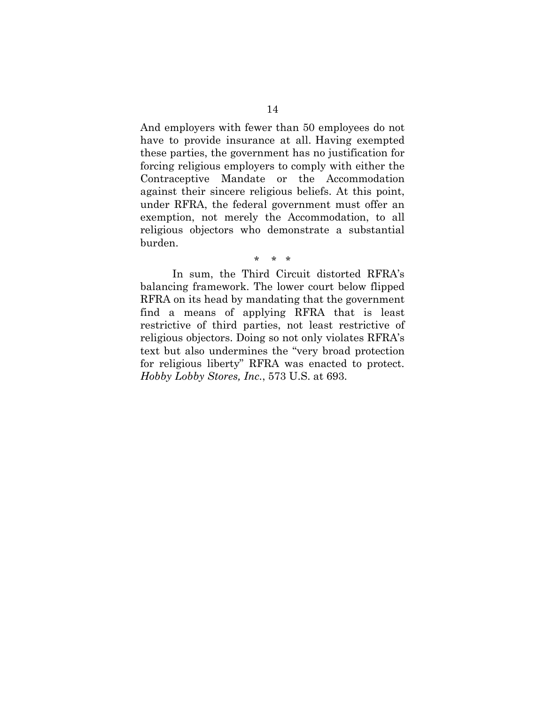And employers with fewer than 50 employees do not have to provide insurance at all. Having exempted these parties, the government has no justification for forcing religious employers to comply with either the Contraceptive Mandate or the Accommodation against their sincere religious beliefs. At this point, under RFRA, the federal government must offer an exemption, not merely the Accommodation, to all religious objectors who demonstrate a substantial burden.

# \* \* \*

In sum, the Third Circuit distorted RFRA's balancing framework. The lower court below flipped RFRA on its head by mandating that the government find a means of applying RFRA that is least restrictive of third parties, not least restrictive of religious objectors. Doing so not only violates RFRA's text but also undermines the "very broad protection for religious liberty" RFRA was enacted to protect. *Hobby Lobby Stores, Inc.*, 573 U.S. at 693.